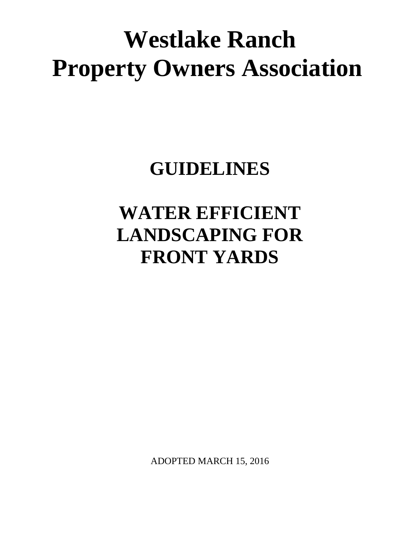# **Westlake Ranch Property Owners Association**

# **GUIDELINES**

# **WATER EFFICIENT LANDSCAPING FOR FRONT YARDS**

ADOPTED MARCH 15, 2016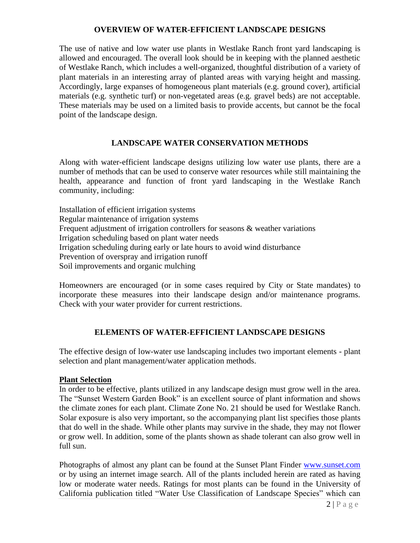### **OVERVIEW OF WATER-EFFICIENT LANDSCAPE DESIGNS**

The use of native and low water use plants in Westlake Ranch front yard landscaping is allowed and encouraged. The overall look should be in keeping with the planned aesthetic of Westlake Ranch, which includes a well-organized, thoughtful distribution of a variety of plant materials in an interesting array of planted areas with varying height and massing. Accordingly, large expanses of homogeneous plant materials (e.g. ground cover), artificial materials (e.g. synthetic turf) or non-vegetated areas (e.g. gravel beds) are not acceptable. These materials may be used on a limited basis to provide accents, but cannot be the focal point of the landscape design.

# **LANDSCAPE WATER CONSERVATION METHODS**

Along with water-efficient landscape designs utilizing low water use plants, there are a number of methods that can be used to conserve water resources while still maintaining the health, appearance and function of front yard landscaping in the Westlake Ranch community, including:

Installation of efficient irrigation systems Regular maintenance of irrigation systems Frequent adjustment of irrigation controllers for seasons & weather variations Irrigation scheduling based on plant water needs Irrigation scheduling during early or late hours to avoid wind disturbance Prevention of overspray and irrigation runoff Soil improvements and organic mulching

Homeowners are encouraged (or in some cases required by City or State mandates) to incorporate these measures into their landscape design and/or maintenance programs. Check with your water provider for current restrictions.

# **ELEMENTS OF WATER-EFFICIENT LANDSCAPE DESIGNS**

The effective design of low-water use landscaping includes two important elements - plant selection and plant management/water application methods.

#### **Plant Selection**

In order to be effective, plants utilized in any landscape design must grow well in the area. The "Sunset Western Garden Book" is an excellent source of plant information and shows the climate zones for each plant. Climate Zone No. 21 should be used for Westlake Ranch. Solar exposure is also very important, so the accompanying plant list specifies those plants that do well in the shade. While other plants may survive in the shade, they may not flower or grow well. In addition, some of the plants shown as shade tolerant can also grow well in full sun.

Photographs of almost any plant can be found at the Sunset Plant Finder [www.sunset.com](http://www.sunset.com/)  or by using an internet image search. All of the plants included herein are rated as having low or moderate water needs. Ratings for most plants can be found in the University of California publication titled "Water Use Classification of Landscape Species" which can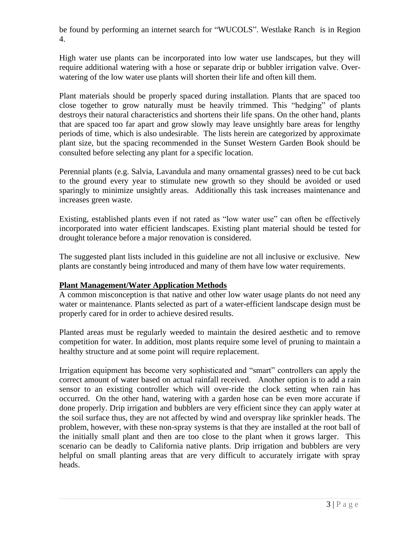be found by performing an internet search for "WUCOLS". Westlake Ranch is in Region 4.

High water use plants can be incorporated into low water use landscapes, but they will require additional watering with a hose or separate drip or bubbler irrigation valve. Overwatering of the low water use plants will shorten their life and often kill them.

Plant materials should be properly spaced during installation. Plants that are spaced too close together to grow naturally must be heavily trimmed. This "hedging" of plants destroys their natural characteristics and shortens their life spans. On the other hand, plants that are spaced too far apart and grow slowly may leave unsightly bare areas for lengthy periods of time, which is also undesirable. The lists herein are categorized by approximate plant size, but the spacing recommended in the Sunset Western Garden Book should be consulted before selecting any plant for a specific location.

Perennial plants (e.g. Salvia, Lavandula and many ornamental grasses) need to be cut back to the ground every year to stimulate new growth so they should be avoided or used sparingly to minimize unsightly areas. Additionally this task increases maintenance and increases green waste.

Existing, established plants even if not rated as "low water use" can often be effectively incorporated into water efficient landscapes. Existing plant material should be tested for drought tolerance before a major renovation is considered.

The suggested plant lists included in this guideline are not all inclusive or exclusive. New plants are constantly being introduced and many of them have low water requirements.

# **Plant Management/Water Application Methods**

A common misconception is that native and other low water usage plants do not need any water or maintenance. Plants selected as part of a water-efficient landscape design must be properly cared for in order to achieve desired results.

Planted areas must be regularly weeded to maintain the desired aesthetic and to remove competition for water. In addition, most plants require some level of pruning to maintain a healthy structure and at some point will require replacement.

Irrigation equipment has become very sophisticated and "smart" controllers can apply the correct amount of water based on actual rainfall received. Another option is to add a rain sensor to an existing controller which will over-ride the clock setting when rain has occurred. On the other hand, watering with a garden hose can be even more accurate if done properly. Drip irrigation and bubblers are very efficient since they can apply water at the soil surface thus, they are not affected by wind and overspray like sprinkler heads. The problem, however, with these non-spray systems is that they are installed at the root ball of the initially small plant and then are too close to the plant when it grows larger. This scenario can be deadly to California native plants. Drip irrigation and bubblers are very helpful on small planting areas that are very difficult to accurately irrigate with spray heads.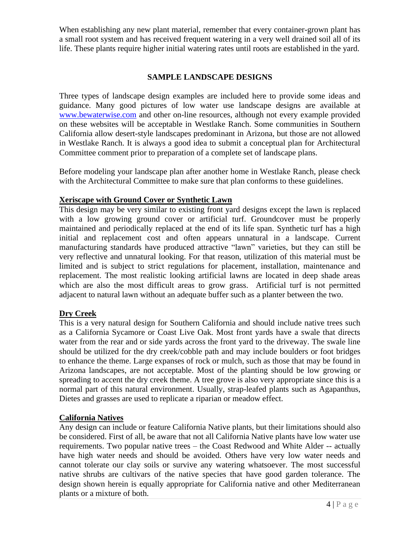When establishing any new plant material, remember that every container-grown plant has a small root system and has received frequent watering in a very well drained soil all of its life. These plants require higher initial watering rates until roots are established in the yard.

# **SAMPLE LANDSCAPE DESIGNS**

Three types of landscape design examples are included here to provide some ideas and guidance. Many good pictures of low water use landscape designs are available at [www.bewaterwise.com](http://www.bewaterwise.com/) and other on-line resources, although not every example provided on these websites will be acceptable in Westlake Ranch. Some communities in Southern California allow desert-style landscapes predominant in Arizona, but those are not allowed in Westlake Ranch. It is always a good idea to submit a conceptual plan for Architectural Committee comment prior to preparation of a complete set of landscape plans.

Before modeling your landscape plan after another home in Westlake Ranch, please check with the Architectural Committee to make sure that plan conforms to these guidelines.

# **Xeriscape with Ground Cover or Synthetic Lawn**

This design may be very similar to existing front yard designs except the lawn is replaced with a low growing ground cover or artificial turf. Groundcover must be properly maintained and periodically replaced at the end of its life span. Synthetic turf has a high initial and replacement cost and often appears unnatural in a landscape. Current manufacturing standards have produced attractive "lawn" varieties, but they can still be very reflective and unnatural looking. For that reason, utilization of this material must be limited and is subject to strict regulations for placement, installation, maintenance and replacement. The most realistic looking artificial lawns are located in deep shade areas which are also the most difficult areas to grow grass. Artificial turf is not permitted adjacent to natural lawn without an adequate buffer such as a planter between the two.

# **Dry Creek**

This is a very natural design for Southern California and should include native trees such as a California Sycamore or Coast Live Oak. Most front yards have a swale that directs water from the rear and or side yards across the front yard to the driveway. The swale line should be utilized for the dry creek/cobble path and may include boulders or foot bridges to enhance the theme. Large expanses of rock or mulch, such as those that may be found in Arizona landscapes, are not acceptable. Most of the planting should be low growing or spreading to accent the dry creek theme. A tree grove is also very appropriate since this is a normal part of this natural environment. Usually, strap-leafed plants such as Agapanthus, Dietes and grasses are used to replicate a riparian or meadow effect.

# **California Natives**

Any design can include or feature California Native plants, but their limitations should also be considered. First of all, be aware that not all California Native plants have low water use requirements. Two popular native trees – the Coast Redwood and White Alder -- actually have high water needs and should be avoided. Others have very low water needs and cannot tolerate our clay soils or survive any watering whatsoever. The most successful native shrubs are cultivars of the native species that have good garden tolerance. The design shown herein is equally appropriate for California native and other Mediterranean plants or a mixture of both.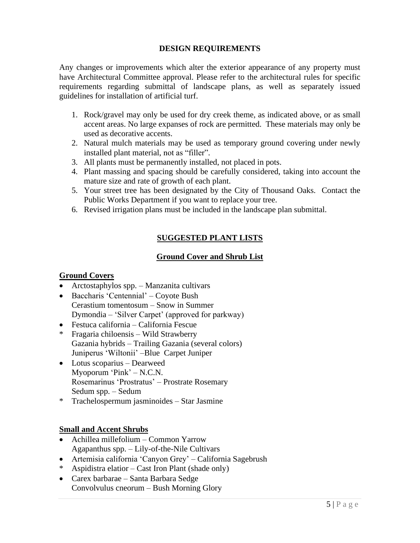# **DESIGN REQUIREMENTS**

Any changes or improvements which alter the exterior appearance of any property must have Architectural Committee approval. Please refer to the architectural rules for specific requirements regarding submittal of landscape plans, as well as separately issued guidelines for installation of artificial turf.

- 1. Rock/gravel may only be used for dry creek theme, as indicated above, or as small accent areas. No large expanses of rock are permitted. These materials may only be used as decorative accents.
- 2. Natural mulch materials may be used as temporary ground covering under newly installed plant material, not as "filler".
- 3. All plants must be permanently installed, not placed in pots.
- 4. Plant massing and spacing should be carefully considered, taking into account the mature size and rate of growth of each plant.
- 5. Your street tree has been designated by the City of Thousand Oaks. Contact the Public Works Department if you want to replace your tree.
- 6. Revised irrigation plans must be included in the landscape plan submittal.

# **SUGGESTED PLANT LISTS**

# **Ground Cover and Shrub List**

# **Ground Covers**

- Arctostaphylos spp. Manzanita cultivars
- Baccharis 'Centennial' Coyote Bush Cerastium tomentosum – Snow in Summer Dymondia – 'Silver Carpet' (approved for parkway)
- Festuca california California Fescue
- \* Fragaria chiloensis Wild Strawberry Gazania hybrids – Trailing Gazania (several colors) Juniperus 'Wiltonii' –Blue Carpet Juniper
- Lotus scoparius Dearweed Myoporum 'Pink' – N.C.N. Rosemarinus 'Prostratus' – Prostrate Rosemary Sedum spp. – Sedum
- \* Trachelospermum jasminoides Star Jasmine

# **Small and Accent Shrubs**

- Achillea millefolium Common Yarrow Agapanthus spp. – Lily-of-the-Nile Cultivars
- Artemisia california 'Canyon Grey' California Sagebrush
- Aspidistra elatior Cast Iron Plant (shade only)
- Carex barbarae Santa Barbara Sedge Convolvulus cneorum – Bush Morning Glory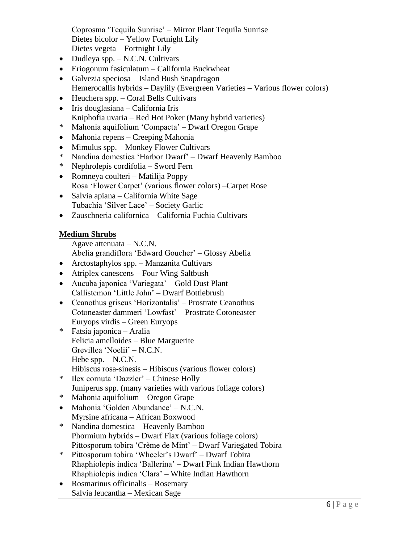Coprosma 'Tequila Sunrise' – Mirror Plant Tequila Sunrise Dietes bicolor – Yellow Fortnight Lily Dietes vegeta – Fortnight Lily

- Dudleya spp.  $-$  N.C.N. Cultivars
- Eriogonum fasiculatum California Buckwheat
- Galvezia speciosa Island Bush Snapdragon
- Hemerocallis hybrids Daylily (Evergreen Varieties Various flower colors)
- Heuchera spp. Coral Bells Cultivars
- Iris douglasiana California Iris Kniphofia uvaria – Red Hot Poker (Many hybrid varieties)
- \* Mahonia aquifolium 'Compacta' Dwarf Oregon Grape
- Mahonia repens Creeping Mahonia
- Mimulus spp. Monkey Flower Cultivars
- \* Nandina domestica 'Harbor Dwarf' Dwarf Heavenly Bamboo
- \* Nephrolepis cordifolia Sword Fern
- Romneya coulteri Matilija Poppy Rosa 'Flower Carpet' (various flower colors) –Carpet Rose
- Salvia apiana California White Sage Tubachia 'Silver Lace' – Society Garlic
- Zauschneria californica California Fuchia Cultivars

# **Medium Shrubs**

Agave attenuata – N.C.N.

- Abelia grandiflora 'Edward Goucher' Glossy Abelia
- Arctostaphylos spp. Manzanita Cultivars
- Atriplex can escens Four Wing Saltbush
- Aucuba japonica 'Variegata' Gold Dust Plant Callistemon 'Little John' – Dwarf Bottlebrush
- Ceanothus griseus 'Horizontalis' Prostrate Ceanothus Cotoneaster dammeri 'Lowfast' – Prostrate Cotoneaster Euryops virdis – Green Euryops
- \* Fatsia japonica Aralia Felicia amelloides – Blue Marguerite Grevillea 'Noelii' – N.C.N. Hebe  $spp. - N.C.N.$ Hibiscus rosa-sinesis – Hibiscus (various flower colors)
- \* Ilex cornuta 'Dazzler' Chinese Holly Juniperus spp. (many varieties with various foliage colors)
- \* Mahonia aquifolium Oregon Grape
- Mahonia 'Golden Abundance' N.C.N. Myrsine africana – African Boxwood
- \* Nandina domestica Heavenly Bamboo Phormium hybrids – Dwarf Flax (various foliage colors) Pittosporum tobira 'Crème de Mint' – Dwarf Variegated Tobira
- \* Pittosporum tobira 'Wheeler's Dwarf' Dwarf Tobira Rhaphiolepis indica 'Ballerina' – Dwarf Pink Indian Hawthorn Rhaphiolepis indica 'Clara' – White Indian Hawthorn
- Rosmarinus officinalis Rosemary Salvia leucantha – Mexican Sage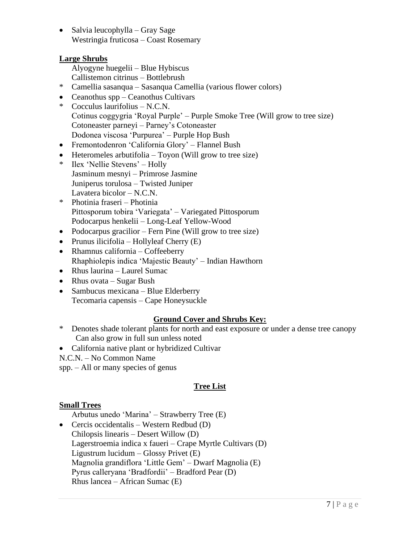• Salvia leucophylla – Gray Sage Westringia fruticosa – Coast Rosemary

# **Large Shrubs**

- Alyogyne huegelii Blue Hybiscus
- Callistemon citrinus Bottlebrush
- \* Camellia sasanqua Sasanqua Camellia (various flower colors)
- Ceanothus spp Ceanothus Cultivars
- \* Cocculus laurifolius N.C.N. Cotinus coggygria 'Royal Purple' – Purple Smoke Tree (Will grow to tree size) Cotoneaster parneyi – Parney's Cotoneaster Dodonea viscosa 'Purpurea' – Purple Hop Bush
- Fremontodenron 'California Glory' Flannel Bush
- Heteromeles arbutifolia Toyon (Will grow to tree size)
- \* Ilex 'Nellie Stevens' Holly Jasminum mesnyi – Primrose Jasmine Juniperus torulosa – Twisted Juniper Lavatera bicolor – N.C.N.
- \* Photinia fraseri Photinia Pittosporum tobira 'Variegata' – Variegated Pittosporum Podocarpus henkelii – Long-Leaf Yellow-Wood
- Podocarpus gracilior Fern Pine (Will grow to tree size)
- Prunus ilicifolia Hollyleaf Cherry (E)
- Rhamnus california Coffeeberry Rhaphiolepis indica 'Majestic Beauty' – Indian Hawthorn
- Rhus laurina Laurel Sumac
- Rhus ovata Sugar Bush
- Sambucus mexicana Blue Elderberry Tecomaria capensis – Cape Honeysuckle

# **Ground Cover and Shrubs Key:**

- \* Denotes shade tolerant plants for north and east exposure or under a dense tree canopy Can also grow in full sun unless noted
- California native plant or hybridized Cultivar
- N.C.N. No Common Name
- spp. All or many species of genus

# **Tree List**

# **Small Trees**

Arbutus unedo 'Marina' – Strawberry Tree (E)

• Cercis occidentalis – Western Redbud (D) Chilopsis linearis – Desert Willow (D) Lagerstroemia indica x faueri – Crape Myrtle Cultivars (D) Ligustrum lucidum – Glossy Privet (E) Magnolia grandiflora 'Little Gem' – Dwarf Magnolia (E) Pyrus calleryana 'Bradfordii' – Bradford Pear (D) Rhus lancea – African Sumac (E)